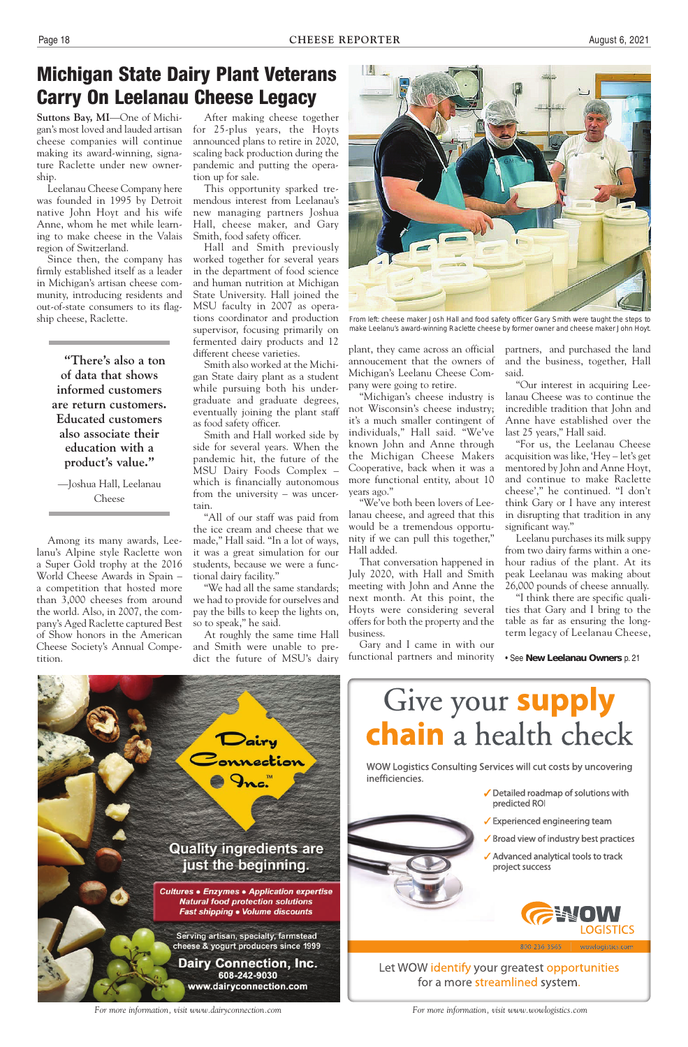800-236-3565 wowlogistics.com

Let WOW identify your greatest opportunities for a more streamlined system.

- $\sqrt{\ }$  Broad view of industry best practices
- ✓ Advanced analytical tools to track project success



- ✓ Detailed roadmap of solutions with predicted ROI
- 

### **Quality ingredients are** just the beginning.

**Cultures . Enzymes . Application expertise Natural food protection solutions** Fast shipping . Volume discounts

Serving artisan, specialty, farmstead cheese & yogurt producers since 1999



#### **Dairy Connection, Inc.** 608-242-9030 www.dairyconnection.com

 $\checkmark$  Experienced engineering team

*For more information, visit www.dairyconnection.com For more information, visit www.wowlogistics.com*

## Michigan State Dairy Plant Veterans Carry On Leelanau Cheese Legacy

Hall and Smith previously worked together for several years in the department of food science and human nutrition at Michigan State University. Hall joined the MSU faculty in 2007 as operations coordinator and production supervisor, focusing primarily on fermented dairy products and 12 different cheese varieties



From left: cheese maker Josh Hall and food safety officer Gary Smith were taught the steps to make Leelanu's award-winning Raclette cheese by former owner and cheese maker John Hoyt.

**Suttons Bay, MI**—One of Michigan's most loved and lauded artisan cheese companies will continue making its award-winning, signature Raclette under new ownership.

Leelanau Cheese Company here was founded in 1995 by Detroit native John Hoyt and his wife Anne, whom he met while learning to make cheese in the Valais region of Switzerland.

Since then, the company has firmly established itself as a leader in Michigan's artisan cheese community, introducing residents and out-of-state consumers to its flagship cheese, Raclette.

> **"There's also a ton of data that shows informed customers are return customers. Educated customers also associate their education with a product's value."**

—Joshua Hall, Leelanau Cheese

Among its many awards, Leelanu's Alpine style Raclette won a Super Gold trophy at the 2016 World Cheese Awards in Spain – a competition that hosted more than 3,000 cheeses from around the world. Also, in 2007, the company's Aged Raclette captured Best of Show honors in the American Cheese Society's Annual Competition.

After making cheese together for 25-plus years, the Hoyts announced plans to retire in 2020, scaling back production during the pandemic and putting the operation up for sale.

This opportunity sparked tremendous interest from Leelanau's new managing partners Joshua Hall, cheese maker, and Gary Smith, food safety officer.

Smith also worked at the Michigan State dairy plant as a student while pursuing both his undergraduate and graduate degrees, eventually joining the plant staff as food safety officer.

Smith and Hall worked side by side for several years. When the pandemic hit, the future of the MSU Dairy Foods Complex – which is financially autonomous from the university – was uncertain.

"All of our staff was paid from the ice cream and cheese that we made," Hall said. "In a lot of ways, it was a great simulation for our students, because we were a functional dairy facility."

"We had all the same standards; we had to provide for ourselves and pay the bills to keep the lights on, so to speak," he said.

At roughly the same time Hall and Smith were unable to predict the future of MSU's dairy

plant, they came across an official annoucement that the owners of Michigan's Leelanu Cheese Company were going to retire.

"Michigan's cheese industry is not Wisconsin's cheese industry; it's a much smaller contingent of individuals," Hall said. "We've known John and Anne through the Michigan Cheese Makers Cooperative, back when it was a more functional entity, about 10 years ago."

"We've both been lovers of Leelanau cheese, and agreed that this would be a tremendous opportunity if we can pull this together," Hall added.

That conversation happened in July 2020, with Hall and Smith meeting with John and Anne the next month. At this point, the Hoyts were considering several offers for both the property and the business.

Gary and I came in with our functional partners and minority partners, and purchased the land and the business, together, Hall said.

"Our interest in acquiring Leelanau Cheese was to continue the incredible tradition that John and Anne have established over the last 25 years," Hall said.

"For us, the Leelanau Cheese acquisition was like, 'Hey – let's get mentored by John and Anne Hoyt, and continue to make Raclette cheese'," he continued. "I don't think Gary or I have any interest in disrupting that tradition in any significant way."

Leelanu purchases its milk suppy from two dairy farms within a onehour radius of the plant. At its peak Leelanau was making about 26,000 pounds of cheese annually.

"I think there are specific qualities that Gary and I bring to the table as far as ensuring the longterm legacy of Leelanau Cheese,

• See **New Leelanau Owners** p. 21